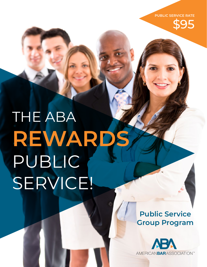

# THE ABA **REWARDS**  PUBLIC SERVICE!

**Public Service Group Program**

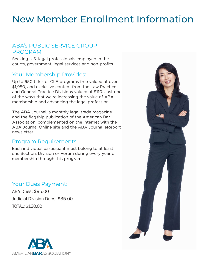# New Member Enrollment Information

# ABA's PUBLIC SERVICE GROUP PROGRAM

Seeking U.S. legal professionals employed in the courts, government, legal services and non-profits.

### Your Membership Provides:

Up to 650 titles of CLE programs free valued at over \$1,950, and exclusive content from the Law Practice and General Practice Divisions valued at \$110. Just one of the ways that we're increasing the value of ABA membership and advancing the legal profession.

The ABA Journal, a monthly legal trade magazine and the flagship publication of the American Bar Association; complemented on the Internet with the ABA Journal Online site and the ABA Journal eReport newsletter.

# Program Requirements:

Each individual participant must belong to at least one Section, Division or Forum during every year of membership through this program.

# Your Dues Payment:

ABA Dues: \$95.00 Judicial Division Dues: \$35.00 TOTAL: \$130.00